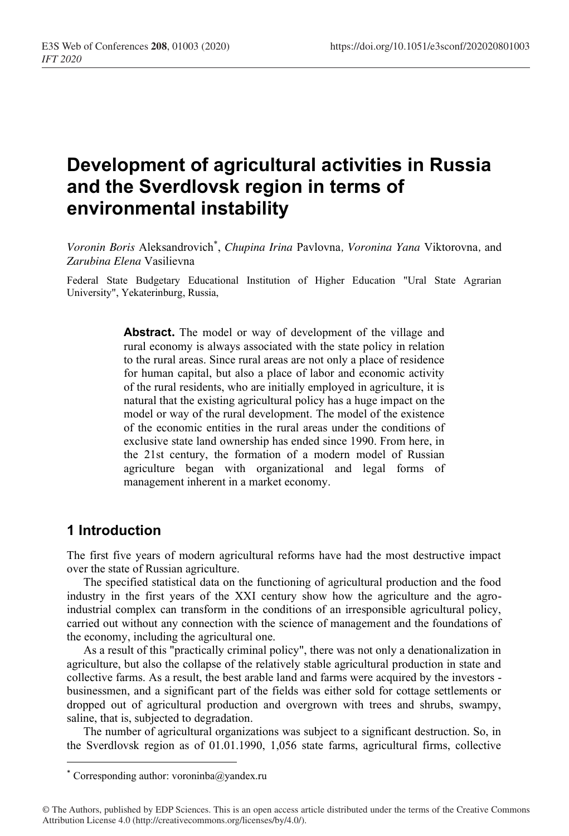# **Development of agricultural activities in Russia and the Sverdlovsk region in terms of environmental instability**

*Voronin Boris* Aleksandrovich\* , *Chupina Irina* Pavlovna*, Voronina Yana* Viktorovna*,* and *Zarubina Elena* Vasilievna

Federal State Budgetary Educational Institution of Higher Education "Ural State Agrarian University", Yekaterinburg, Russia,

> **Abstract.** The model or way of development of the village and rural economy is always associated with the state policy in relation to the rural areas. Since rural areas are not only a place of residence for human capital, but also a place of labor and economic activity of the rural residents, who are initially employed in agriculture, it is natural that the existing agricultural policy has a huge impact on the model or way of the rural development. The model of the existence of the economic entities in the rural areas under the conditions of exclusive state land ownership has ended since 1990. From here, in the 21st century, the formation of a modern model of Russian agriculture began with organizational and legal forms of management inherent in a market economy.

## **1 Introduction**

The first five years of modern agricultural reforms have had the most destructive impact over the state of Russian agriculture.

The specified statistical data on the functioning of agricultural production and the food industry in the first years of the XXI century show how the agriculture and the agroindustrial complex can transform in the conditions of an irresponsible agricultural policy, carried out without any connection with the science of management and the foundations of the economy, including the agricultural one.

As a result of this "practically criminal policy", there was not only a denationalization in agriculture, but also the collapse of the relatively stable agricultural production in state and collective farms. As a result, the best arable land and farms were acquired by the investors businessmen, and a significant part of the fields was either sold for cottage settlements or dropped out of agricultural production and overgrown with trees and shrubs, swampy, saline, that is, subjected to degradation.

The number of agricultural organizations was subject to a significant destruction. So, in the Sverdlovsk region as of 01.01.1990, 1,056 state farms, agricultural firms, collective

<sup>\*</sup> Corresponding author: voroninba@yandex.ru

<sup>©</sup> The Authors, published by EDP Sciences. This is an open access article distributed under the terms of the Creative Commons Attribution License 4.0 (http://creativecommons.org/licenses/by/4.0/).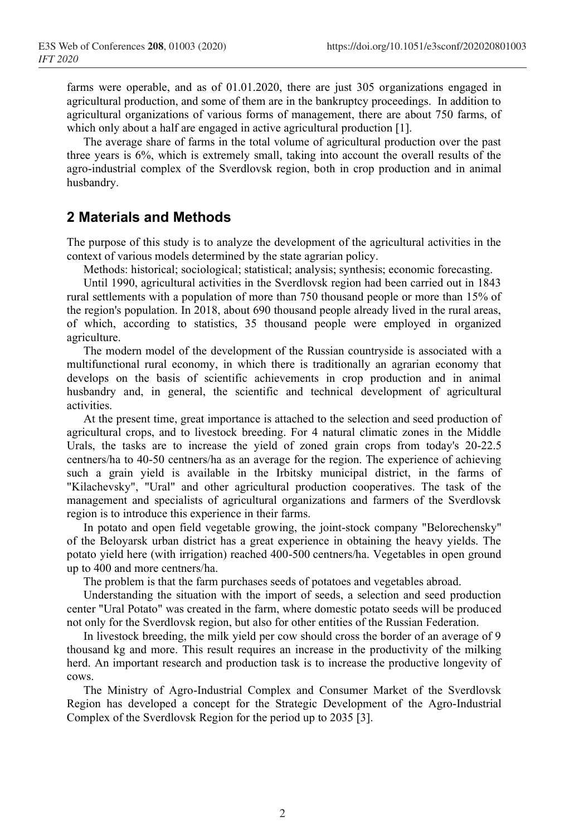farms were operable, and as of 01.01.2020, there are just 305 organizations engaged in agricultural production, and some of them are in the bankruptcy proceedings. In addition to agricultural organizations of various forms of management, there are about 750 farms, of which only about a half are engaged in active agricultural production [1].

The average share of farms in the total volume of agricultural production over the past three years is 6%, which is extremely small, taking into account the overall results of the agro-industrial complex of the Sverdlovsk region, both in crop production and in animal husbandry.

#### **2 Materials and Methods**

The purpose of this study is to analyze the development of the agricultural activities in the context of various models determined by the state agrarian policy.

Methods: historical; sociological; statistical; analysis; synthesis; economic forecasting.

Until 1990, agricultural activities in the Sverdlovsk region had been carried out in 1843 rural settlements with a population of more than 750 thousand people or more than 15% of the region's population. In 2018, about 690 thousand people already lived in the rural areas, of which, according to statistics, 35 thousand people were employed in organized agriculture.

The modern model of the development of the Russian countryside is associated with a multifunctional rural economy, in which there is traditionally an agrarian economy that develops on the basis of scientific achievements in crop production and in animal husbandry and, in general, the scientific and technical development of agricultural activities.

At the present time, great importance is attached to the selection and seed production of agricultural crops, and to livestock breeding. For 4 natural climatic zones in the Middle Urals, the tasks are to increase the yield of zoned grain crops from today's 20-22.5 centners/ha to 40-50 centners/ha as an average for the region. The experience of achieving such a grain yield is available in the Irbitsky municipal district, in the farms of "Kilachevsky", "Ural" and other agricultural production cooperatives. The task of the management and specialists of agricultural organizations and farmers of the Sverdlovsk region is to introduce this experience in their farms.

In potato and open field vegetable growing, the joint-stock company "Belorechensky" of the Beloyarsk urban district has a great experience in obtaining the heavy yields. The potato yield here (with irrigation) reached 400-500 centners/ha. Vegetables in open ground up to 400 and more centners/ha.

The problem is that the farm purchases seeds of potatoes and vegetables abroad.

Understanding the situation with the import of seeds, a selection and seed production center "Ural Potato" was created in the farm, where domestic potato seeds will be produced not only for the Sverdlovsk region, but also for other entities of the Russian Federation.

In livestock breeding, the milk yield per cow should cross the border of an average of 9 thousand kg and more. This result requires an increase in the productivity of the milking herd. An important research and production task is to increase the productive longevity of cows.

The Ministry of Agro-Industrial Complex and Consumer Market of the Sverdlovsk Region has developed a concept for the Strategic Development of the Agro-Industrial Complex of the Sverdlovsk Region for the period up to 2035 [3].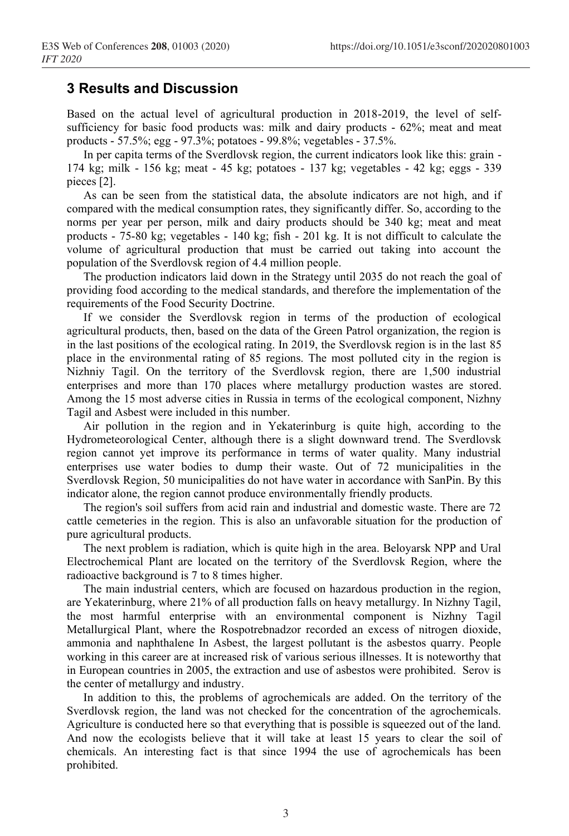### **3 Results and Discussion**

Based on the actual level of agricultural production in 2018-2019, the level of selfsufficiency for basic food products was: milk and dairy products - 62%; meat and meat products - 57.5%; egg - 97.3%; potatoes - 99.8%; vegetables - 37.5%.

In per capita terms of the Sverdlovsk region, the current indicators look like this: grain - 174 kg; milk - 156 kg; meat - 45 kg; potatoes - 137 kg; vegetables - 42 kg; eggs - 339 pieces [2].

As can be seen from the statistical data, the absolute indicators are not high, and if compared with the medical consumption rates, they significantly differ. So, according to the norms per year per person, milk and dairy products should be 340 kg; meat and meat products - 75-80 kg; vegetables - 140 kg; fish - 201 kg. It is not difficult to calculate the volume of agricultural production that must be carried out taking into account the population of the Sverdlovsk region of 4.4 million people.

The production indicators laid down in the Strategy until 2035 do not reach the goal of providing food according to the medical standards, and therefore the implementation of the requirements of the Food Security Doctrine.

If we consider the Sverdlovsk region in terms of the production of ecological agricultural products, then, based on the data of the Green Patrol organization, the region is in the last positions of the ecological rating. In 2019, the Sverdlovsk region is in the last 85 place in the environmental rating of 85 regions. The most polluted city in the region is Nizhniy Tagil. On the territory of the Sverdlovsk region, there are 1,500 industrial enterprises and more than 170 places where metallurgy production wastes are stored. Among the 15 most adverse cities in Russia in terms of the ecological component, Nizhny Tagil and Asbest were included in this number.

Air pollution in the region and in Yekaterinburg is quite high, according to the Hydrometeorological Center, although there is a slight downward trend. The Sverdlovsk region cannot yet improve its performance in terms of water quality. Many industrial enterprises use water bodies to dump their waste. Out of 72 municipalities in the Sverdlovsk Region, 50 municipalities do not have water in accordance with SanPin. By this indicator alone, the region cannot produce environmentally friendly products.

The region's soil suffers from acid rain and industrial and domestic waste. There are 72 cattle cemeteries in the region. This is also an unfavorable situation for the production of pure agricultural products.

The next problem is radiation, which is quite high in the area. Beloyarsk NPP and Ural Electrochemical Plant are located on the territory of the Sverdlovsk Region, where the radioactive background is 7 to 8 times higher.

The main industrial centers, which are focused on hazardous production in the region, are Yekaterinburg, where 21% of all production falls on heavy metallurgy. In Nizhny Tagil, the most harmful enterprise with an environmental component is Nizhny Tagil Metallurgical Plant, where the Rospotrebnadzor recorded an excess of nitrogen dioxide, ammonia and naphthalene In Asbest, the largest pollutant is the asbestos quarry. People working in this career are at increased risk of various serious illnesses. It is noteworthy that in European countries in 2005, the extraction and use of asbestos were prohibited. Serov is the center of metallurgy and industry.

In addition to this, the problems of agrochemicals are added. On the territory of the Sverdlovsk region, the land was not checked for the concentration of the agrochemicals. Agriculture is conducted here so that everything that is possible is squeezed out of the land. And now the ecologists believe that it will take at least 15 years to clear the soil of chemicals. An interesting fact is that since 1994 the use of agrochemicals has been prohibited.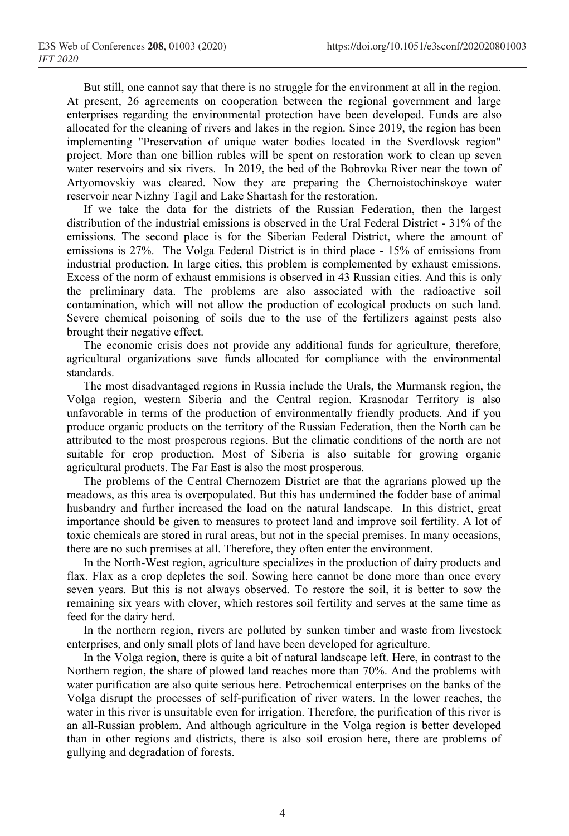But still, one cannot say that there is no struggle for the environment at all in the region. At present, 26 agreements on cooperation between the regional government and large enterprises regarding the environmental protection have been developed. Funds are also allocated for the cleaning of rivers and lakes in the region. Since 2019, the region has been implementing "Preservation of unique water bodies located in the Sverdlovsk region" project. More than one billion rubles will be spent on restoration work to clean up seven water reservoirs and six rivers. In 2019, the bed of the Bobrovka River near the town of Artyomovskiy was cleared. Now they are preparing the Chernoistochinskoye water reservoir near Nizhny Tagil and Lake Shartash for the restoration.

If we take the data for the districts of the Russian Federation, then the largest distribution of the industrial emissions is observed in the Ural Federal District - 31% of the emissions. The second place is for the Siberian Federal District, where the amount of emissions is 27%. The Volga Federal District is in third place - 15% of emissions from industrial production. In large cities, this problem is complemented by exhaust emissions. Excess of the norm of exhaust emmisions is observed in 43 Russian cities. And this is only the preliminary data. The problems are also associated with the radioactive soil contamination, which will not allow the production of ecological products on such land. Severe chemical poisoning of soils due to the use of the fertilizers against pests also brought their negative effect.

The economic crisis does not provide any additional funds for agriculture, therefore, agricultural organizations save funds allocated for compliance with the environmental standards.

The most disadvantaged regions in Russia include the Urals, the Murmansk region, the Volga region, western Siberia and the Central region. Krasnodar Territory is also unfavorable in terms of the production of environmentally friendly products. And if you produce organic products on the territory of the Russian Federation, then the North can be attributed to the most prosperous regions. But the climatic conditions of the north are not suitable for crop production. Most of Siberia is also suitable for growing organic agricultural products. The Far East is also the most prosperous.

The problems of the Central Chernozem District are that the agrarians plowed up the meadows, as this area is overpopulated. But this has undermined the fodder base of animal husbandry and further increased the load on the natural landscape. In this district, great importance should be given to measures to protect land and improve soil fertility. A lot of toxic chemicals are stored in rural areas, but not in the special premises. In many occasions, there are no such premises at all. Therefore, they often enter the environment.

In the North-West region, agriculture specializes in the production of dairy products and flax. Flax as a crop depletes the soil. Sowing here cannot be done more than once every seven years. But this is not always observed. To restore the soil, it is better to sow the remaining six years with clover, which restores soil fertility and serves at the same time as feed for the dairy herd.

In the northern region, rivers are polluted by sunken timber and waste from livestock enterprises, and only small plots of land have been developed for agriculture.

In the Volga region, there is quite a bit of natural landscape left. Here, in contrast to the Northern region, the share of plowed land reaches more than 70%. And the problems with water purification are also quite serious here. Petrochemical enterprises on the banks of the Volga disrupt the processes of self-purification of river waters. In the lower reaches, the water in this river is unsuitable even for irrigation. Therefore, the purification of this river is an all-Russian problem. And although agriculture in the Volga region is better developed than in other regions and districts, there is also soil erosion here, there are problems of gullying and degradation of forests.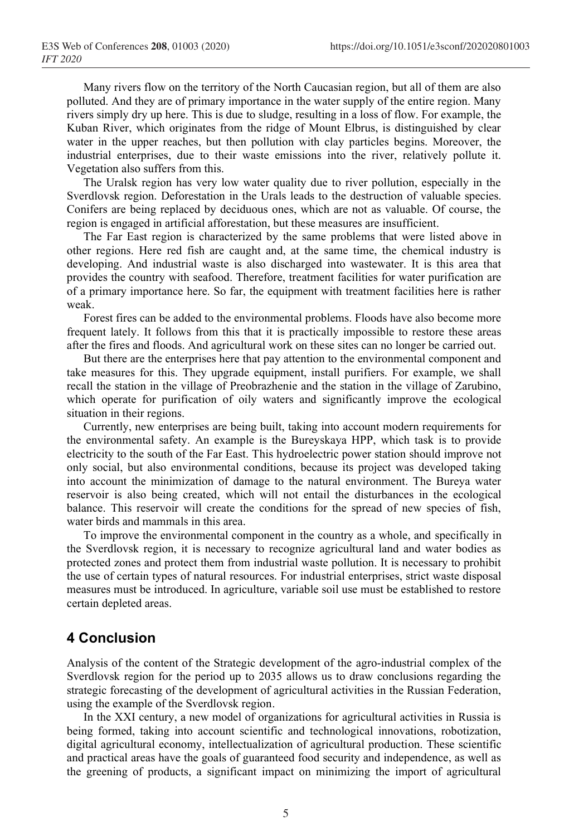Many rivers flow on the territory of the North Caucasian region, but all of them are also polluted. And they are of primary importance in the water supply of the entire region. Many rivers simply dry up here. This is due to sludge, resulting in a loss of flow. For example, the Kuban River, which originates from the ridge of Mount Elbrus, is distinguished by clear water in the upper reaches, but then pollution with clay particles begins. Moreover, the industrial enterprises, due to their waste emissions into the river, relatively pollute it. Vegetation also suffers from this.

The Uralsk region has very low water quality due to river pollution, especially in the Sverdlovsk region. Deforestation in the Urals leads to the destruction of valuable species. Conifers are being replaced by deciduous ones, which are not as valuable. Of course, the region is engaged in artificial afforestation, but these measures are insufficient.

The Far East region is characterized by the same problems that were listed above in other regions. Here red fish are caught and, at the same time, the chemical industry is developing. And industrial waste is also discharged into wastewater. It is this area that provides the country with seafood. Therefore, treatment facilities for water purification are of a primary importance here. So far, the equipment with treatment facilities here is rather weak.

Forest fires can be added to the environmental problems. Floods have also become more frequent lately. It follows from this that it is practically impossible to restore these areas after the fires and floods. And agricultural work on these sites can no longer be carried out.

But there are the enterprises here that pay attention to the environmental component and take measures for this. They upgrade equipment, install purifiers. For example, we shall recall the station in the village of Preobrazhenie and the station in the village of Zarubino, which operate for purification of oily waters and significantly improve the ecological situation in their regions.

Currently, new enterprises are being built, taking into account modern requirements for the environmental safety. An example is the Bureyskaya HPP, which task is to provide electricity to the south of the Far East. This hydroelectric power station should improve not only social, but also environmental conditions, because its project was developed taking into account the minimization of damage to the natural environment. The Bureya water reservoir is also being created, which will not entail the disturbances in the ecological balance. This reservoir will create the conditions for the spread of new species of fish, water birds and mammals in this area.

To improve the environmental component in the country as a whole, and specifically in the Sverdlovsk region, it is necessary to recognize agricultural land and water bodies as protected zones and protect them from industrial waste pollution. It is necessary to prohibit the use of certain types of natural resources. For industrial enterprises, strict waste disposal measures must be introduced. In agriculture, variable soil use must be established to restore certain depleted areas.

## **4 Conclusion**

Analysis of the content of the Strategic development of the agro-industrial complex of the Sverdlovsk region for the period up to 2035 allows us to draw conclusions regarding the strategic forecasting of the development of agricultural activities in the Russian Federation, using the example of the Sverdlovsk region.

In the XXI century, a new model of organizations for agricultural activities in Russia is being formed, taking into account scientific and technological innovations, robotization, digital agricultural economy, intellectualization of agricultural production. These scientific and practical areas have the goals of guaranteed food security and independence, as well as the greening of products, a significant impact on minimizing the import of agricultural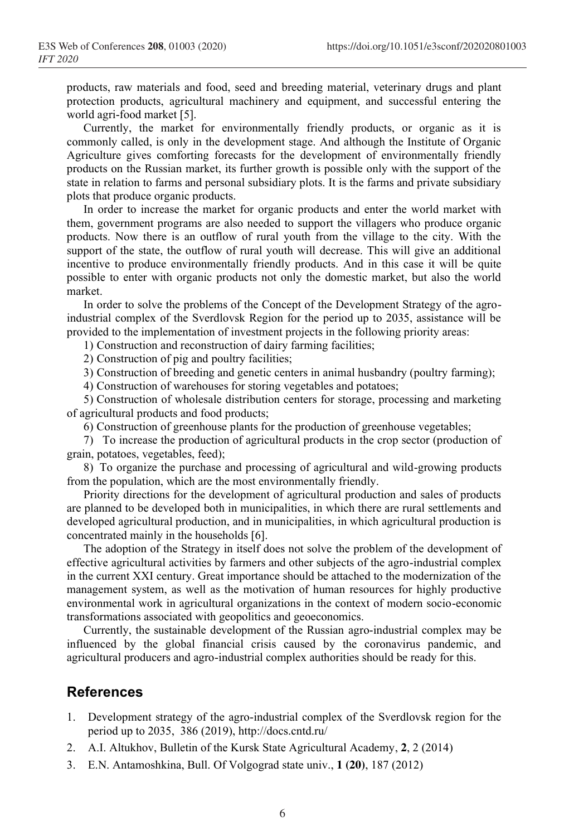products, raw materials and food, seed and breeding material, veterinary drugs and plant protection products, agricultural machinery and equipment, and successful entering the world agri-food market [5].

Currently, the market for environmentally friendly products, or organic as it is commonly called, is only in the development stage. And although the Institute of Organic Agriculture gives comforting forecasts for the development of environmentally friendly products on the Russian market, its further growth is possible only with the support of the state in relation to farms and personal subsidiary plots. It is the farms and private subsidiary plots that produce organic products.

In order to increase the market for organic products and enter the world market with them, government programs are also needed to support the villagers who produce organic products. Now there is an outflow of rural youth from the village to the city. With the support of the state, the outflow of rural youth will decrease. This will give an additional incentive to produce environmentally friendly products. And in this case it will be quite possible to enter with organic products not only the domestic market, but also the world market.

In order to solve the problems of the Concept of the Development Strategy of the agroindustrial complex of the Sverdlovsk Region for the period up to 2035, assistance will be provided to the implementation of investment projects in the following priority areas:

1) Construction and reconstruction of dairy farming facilities;

2) Construction of pig and poultry facilities;

3) Construction of breeding and genetic centers in animal husbandry (poultry farming);

4) Construction of warehouses for storing vegetables and potatoes;

5) Construction of wholesale distribution centers for storage, processing and marketing of agricultural products and food products;

6) Construction of greenhouse plants for the production of greenhouse vegetables;

7) To increase the production of agricultural products in the crop sector (production of grain, potatoes, vegetables, feed);

8) To organize the purchase and processing of agricultural and wild-growing products from the population, which are the most environmentally friendly.

Priority directions for the development of agricultural production and sales of products are planned to be developed both in municipalities, in which there are rural settlements and developed agricultural production, and in municipalities, in which agricultural production is concentrated mainly in the households [6].

The adoption of the Strategy in itself does not solve the problem of the development of effective agricultural activities by farmers and other subjects of the agro-industrial complex in the current XXI century. Great importance should be attached to the modernization of the management system, as well as the motivation of human resources for highly productive environmental work in agricultural organizations in the context of modern socio-economic transformations associated with geopolitics and geoeconomics.

Currently, the sustainable development of the Russian agro-industrial complex may be influenced by the global financial crisis caused by the coronavirus pandemic, and agricultural producers and agro-industrial complex authorities should be ready for this.

## **References**

- 1. Development strategy of the agro-industrial complex of the Sverdlovsk region for the period up to 2035, 386 (2019), http://docs.cntd.ru/
- 2. A.I. Altukhov, Bulletin of the Kursk State Agricultural Academy, **2**, 2 (2014)
- 3. E.N. Antamoshkina, Bull. Of Volgograd state univ., **1 (20)**, 187 (2012)